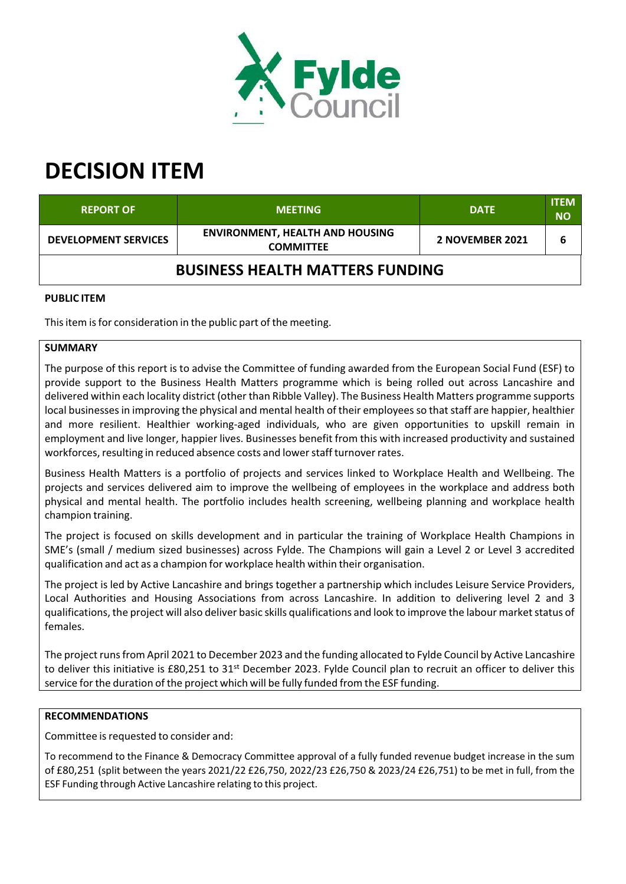

# **DECISION ITEM**

| <b>REPORT OF</b>                       | <b>MEETING</b>                                             | <b>DATE</b>     | <b>ITEM</b><br><b>NO</b> |  |
|----------------------------------------|------------------------------------------------------------|-----------------|--------------------------|--|
| <b>DEVELOPMENT SERVICES</b>            | <b>ENVIRONMENT, HEALTH AND HOUSING</b><br><b>COMMITTEE</b> | 2 NOVEMBER 2021 |                          |  |
| <b>BUSINESS HEALTH MATTERS FUNDING</b> |                                                            |                 |                          |  |

## **PUBLIC ITEM**

This item is for consideration in the public part of the meeting.

## **SUMMARY**

The purpose of this report is to advise the Committee of funding awarded from the European Social Fund (ESF) to provide support to the Business Health Matters programme which is being rolled out across Lancashire and delivered within each locality district (other than Ribble Valley). The Business Health Matters programme supports local businesses in improving the physical and mental health of their employees so that staff are happier, healthier and more resilient. Healthier working‐aged individuals, who are given opportunities to upskill remain in employment and live longer, happier lives. Businesses benefit from this with increased productivity and sustained workforces, resulting in reduced absence costs and lower staff turnover rates.

Business Health Matters is a portfolio of projects and services linked to Workplace Health and Wellbeing. The projects and services delivered aim to improve the wellbeing of employees in the workplace and address both physical and mental health. The portfolio includes health screening, wellbeing planning and workplace health champion training.

The project is focused on skills development and in particular the training of Workplace Health Champions in SME's (small / medium sized businesses) across Fylde. The Champions will gain a Level 2 or Level 3 accredited qualification and act as a champion for workplace health within their organisation.

The project is led by Active Lancashire and brings together a partnership which includes Leisure Service Providers, Local Authorities and Housing Associations from across Lancashire. In addition to delivering level 2 and 3 qualifications, the project will also deliver basic skills qualifications and look to improve the labour market status of females.

The project runs from April 2021 to December 2023 and the funding allocated to Fylde Council by Active Lancashire to deliver this initiative is £80,251 to 31<sup>st</sup> December 2023. Fylde Council plan to recruit an officer to deliver this service forthe duration of the project which will be fully funded from the ESF funding.

#### **RECOMMENDATIONS**

Committee is requested to consider and:

To recommend to the Finance & Democracy Committee approval of a fully funded revenue budget increase in the sum of £80,251 (split between the years 2021/22 £26,750, 2022/23 £26,750 & 2023/24 £26,751) to be met in full, from the ESF Funding through Active Lancashire relating to this project.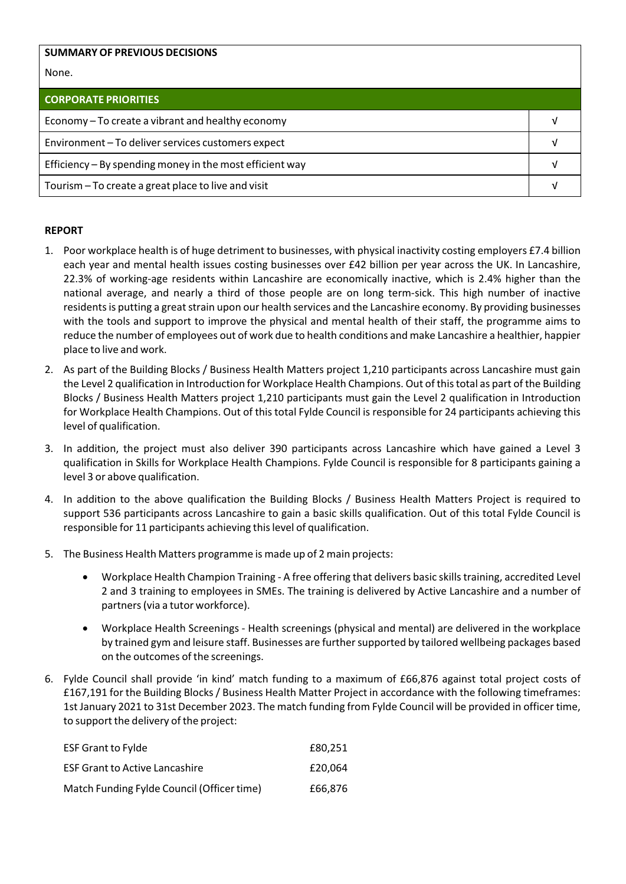| <b>SUMMARY OF PREVIOUS DECISIONS</b>                     |  |  |
|----------------------------------------------------------|--|--|
| None.                                                    |  |  |
| <b>CORPORATE PRIORITIES</b>                              |  |  |
| Economy – To create a vibrant and healthy economy        |  |  |
| Environment-To deliver services customers expect         |  |  |
| Efficiency - By spending money in the most efficient way |  |  |
| Tourism – To create a great place to live and visit      |  |  |

### **REPORT**

- 1. Poor workplace health is of huge detriment to businesses, with physical inactivity costing employers £7.4 billion each year and mental health issues costing businesses over £42 billion per year across the UK. In Lancashire, 22.3% of working‐age residents within Lancashire are economically inactive, which is 2.4% higher than the national average, and nearly a third of those people are on long term‐sick. This high number of inactive residents is putting a great strain upon our health services and the Lancashire economy. By providing businesses with the tools and support to improve the physical and mental health of their staff, the programme aims to reduce the number of employees out of work due to health conditions and make Lancashire a healthier, happier place to live and work.
- 2. As part of the Building Blocks / Business Health Matters project 1,210 participants across Lancashire must gain the Level 2 qualification in Introduction for Workplace Health Champions. Out of thistotal as part of the Building Blocks / Business Health Matters project 1,210 participants must gain the Level 2 qualification in Introduction for Workplace Health Champions. Out of thistotal Fylde Council is responsible for 24 participants achieving this level of qualification.
- 3. In addition, the project must also deliver 390 participants across Lancashire which have gained a Level 3 qualification in Skills for Workplace Health Champions. Fylde Council is responsible for 8 participants gaining a level 3 or above qualification.
- 4. In addition to the above qualification the Building Blocks / Business Health Matters Project is required to support 536 participants across Lancashire to gain a basic skills qualification. Out of this total Fylde Council is responsible for 11 participants achieving thislevel of qualification.
- 5. The Business Health Matters programme is made up of 2 main projects:
	- Workplace Health Champion Training A free offering that delivers basic skills training, accredited Level 2 and 3 training to employees in SMEs. The training is delivered by Active Lancashire and a number of partners(via a tutor workforce).
	- Workplace Health Screenings ‐ Health screenings (physical and mental) are delivered in the workplace by trained gym and leisure staff. Businesses are furthersupported by tailored wellbeing packages based on the outcomes of the screenings.
- 6. Fylde Council shall provide 'in kind' match funding to a maximum of £66,876 against total project costs of £167,191 for the Building Blocks / Business Health Matter Project in accordance with the following timeframes: 1st January 2021 to 31st December 2023. The match funding from Fylde Council will be provided in officer time, to support the delivery of the project:

| <b>ESF Grant to Fylde</b>                  | £80.251 |
|--------------------------------------------|---------|
| <b>ESF Grant to Active Lancashire</b>      | £20.064 |
| Match Funding Fylde Council (Officer time) | £66.876 |